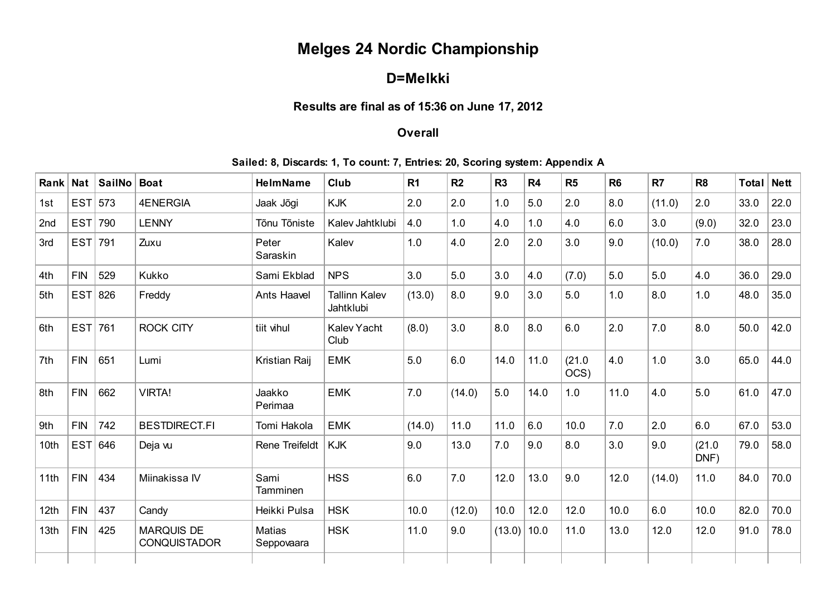# Melges 24 Nordic Championship

## D=Melkki

### Results are final as of 15:36 on June 17, 2012

#### **Overall**

#### Sailed: 8, Discards: 1, To count: 7, Entries: 20, Scoring system: Appendix A

| Rank | <b>Nat</b> | <b>SailNo</b> | <b>Boat</b>                              | <b>HelmName</b>             | Club                              | R <sub>1</sub> | R <sub>2</sub> | R <sub>3</sub> | R <sub>4</sub> | R <sub>5</sub> | R <sub>6</sub> | R7     | R <sub>8</sub> | <b>Total</b> | <b>Nett</b> |
|------|------------|---------------|------------------------------------------|-----------------------------|-----------------------------------|----------------|----------------|----------------|----------------|----------------|----------------|--------|----------------|--------------|-------------|
| 1st  | EST        | 573           | <b>4ENERGIA</b>                          | Jaak Jõgi                   | <b>KJK</b>                        | 2.0            | 2.0            | 1.0            | 5.0            | 2.0            | 8.0            | (11.0) | 2.0            | 33.0         | 22.0        |
| 2nd  | EST        | 790           | <b>LENNY</b>                             | Tõnu Tõniste                | Kalev Jahtklubi                   | 4.0            | 1.0            | 4.0            | 1.0            | 4.0            | 6.0            | 3.0    | (9.0)          | 32.0         | 23.0        |
| 3rd  | EST        | 791           | Zuxu                                     | Peter<br>Saraskin           | Kalev                             | 1.0            | 4.0            | 2.0            | 2.0            | 3.0            | 9.0            | (10.0) | 7.0            | 38.0         | 28.0        |
| 4th  | <b>FIN</b> | 529           | Kukko                                    | Sami Ekblad                 | <b>NPS</b>                        | 3.0            | 5.0            | 3.0            | 4.0            | (7.0)          | 5.0            | 5.0    | 4.0            | 36.0         | 29.0        |
| 5th  | EST        | 826           | Freddy                                   | Ants Haavel                 | <b>Tallinn Kalev</b><br>Jahtklubi | (13.0)         | 8.0            | 9.0            | 3.0            | 5.0            | 1.0            | 8.0    | 1.0            | 48.0         | 35.0        |
| 6th  | EST        | 761           | <b>ROCK CITY</b>                         | tiit vihul                  | Kalev Yacht<br>Club               | (8.0)          | 3.0            | 8.0            | 8.0            | 6.0            | 2.0            | 7.0    | 8.0            | 50.0         | 42.0        |
| 7th  | <b>FIN</b> | 651           | Lumi                                     | Kristian Raij               | <b>EMK</b>                        | 5.0            | 6.0            | 14.0           | 11.0           | (21.0)<br>OCS) | 4.0            | 1.0    | 3.0            | 65.0         | 44.0        |
| 8th  | <b>FIN</b> | 662           | <b>VIRTA!</b>                            | Jaakko<br>Perimaa           | <b>EMK</b>                        | 7.0            | (14.0)         | 5.0            | 14.0           | 1.0            | 11.0           | 4.0    | 5.0            | 61.0         | 47.0        |
| 9th  | <b>FIN</b> | 742           | <b>BESTDIRECT.FI</b>                     | Tomi Hakola                 | <b>EMK</b>                        | (14.0)         | 11.0           | 11.0           | 6.0            | 10.0           | 7.0            | 2.0    | 6.0            | 67.0         | 53.0        |
| 10th | EST        | 646           | Deja vu                                  | Rene Treifeldt              | <b>KJK</b>                        | 9.0            | 13.0           | 7.0            | 9.0            | 8.0            | 3.0            | 9.0    | (21.0)<br>DNF) | 79.0         | 58.0        |
| 11th | <b>FIN</b> | 434           | Miinakissa IV                            | Sami<br>Tamminen            | <b>HSS</b>                        | 6.0            | 7.0            | 12.0           | 13.0           | 9.0            | 12.0           | (14.0) | 11.0           | 84.0         | 70.0        |
| 12th | <b>FIN</b> | 437           | Candy                                    | Heikki Pulsa                | <b>HSK</b>                        | 10.0           | (12.0)         | 10.0           | 12.0           | 12.0           | 10.0           | 6.0    | 10.0           | 82.0         | 70.0        |
| 13th | <b>FIN</b> | 425           | <b>MARQUIS DE</b><br><b>CONQUISTADOR</b> | <b>Matias</b><br>Seppovaara | <b>HSK</b>                        | 11.0           | 9.0            | (13.0)         | 10.0           | 11.0           | 13.0           | 12.0   | 12.0           | 91.0         | 78.0        |
|      |            |               |                                          |                             |                                   |                |                |                |                |                |                |        |                |              |             |